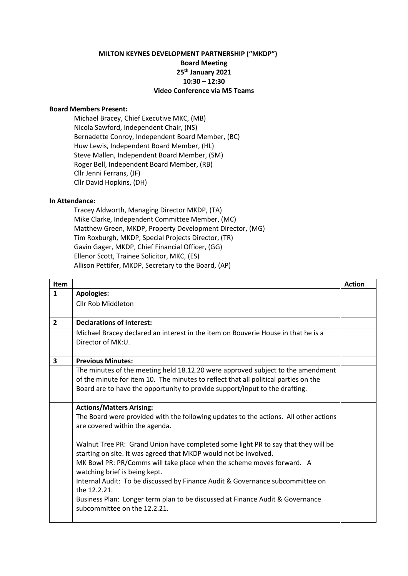## **MILTON KEYNES DEVELOPMENT PARTNERSHIP ("MKDP") Board Meeting 25th January 2021 10:30 – 12:30 Video Conference via MS Teams**

## **Board Members Present:**

Michael Bracey, Chief Executive MKC, (MB) Nicola Sawford, Independent Chair, (NS) Bernadette Conroy, Independent Board Member, (BC) Huw Lewis, Independent Board Member, (HL) Steve Mallen, Independent Board Member, (SM) Roger Bell, Independent Board Member, (RB) Cllr Jenni Ferrans, (JF) Cllr David Hopkins, (DH)

## **In Attendance:**

Tracey Aldworth, Managing Director MKDP, (TA) Mike Clarke, Independent Committee Member, (MC) Matthew Green, MKDP, Property Development Director, (MG) Tim Roxburgh, MKDP, Special Projects Director, (TR) Gavin Gager, MKDP, Chief Financial Officer, (GG) Ellenor Scott, Trainee Solicitor, MKC, (ES) Allison Pettifer, MKDP, Secretary to the Board, (AP)

| <b>Item</b>    |                                                                                                                                                       | <b>Action</b> |
|----------------|-------------------------------------------------------------------------------------------------------------------------------------------------------|---------------|
| $\mathbf{1}$   | <b>Apologies:</b>                                                                                                                                     |               |
|                | <b>Cllr Rob Middleton</b>                                                                                                                             |               |
|                |                                                                                                                                                       |               |
| $\overline{2}$ | <b>Declarations of Interest:</b>                                                                                                                      |               |
|                | Michael Bracey declared an interest in the item on Bouverie House in that he is a                                                                     |               |
|                | Director of MK:U.                                                                                                                                     |               |
| $\mathbf{3}$   | <b>Previous Minutes:</b>                                                                                                                              |               |
|                | The minutes of the meeting held 18.12.20 were approved subject to the amendment                                                                       |               |
|                | of the minute for item 10. The minutes to reflect that all political parties on the                                                                   |               |
|                | Board are to have the opportunity to provide support/input to the drafting.                                                                           |               |
|                |                                                                                                                                                       |               |
|                | <b>Actions/Matters Arising:</b>                                                                                                                       |               |
|                | The Board were provided with the following updates to the actions. All other actions                                                                  |               |
|                | are covered within the agenda.                                                                                                                        |               |
|                | Walnut Tree PR: Grand Union have completed some light PR to say that they will be<br>starting on site. It was agreed that MKDP would not be involved. |               |
|                | MK Bowl PR: PR/Comms will take place when the scheme moves forward. A<br>watching brief is being kept.                                                |               |
|                | Internal Audit: To be discussed by Finance Audit & Governance subcommittee on<br>the 12.2.21.                                                         |               |
|                | Business Plan: Longer term plan to be discussed at Finance Audit & Governance<br>subcommittee on the 12.2.21.                                         |               |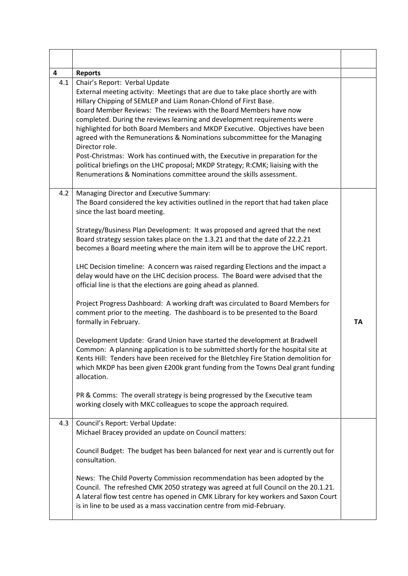| 4   | <b>Reports</b>                                                                                                                                                                                                                                                                                                                                                                                                                                                                                                                                                                                                                                                                                                                                                                                                                                                                                                                                                                                                                                                                                                                                                                                                                                                                                                                                                          |    |
|-----|-------------------------------------------------------------------------------------------------------------------------------------------------------------------------------------------------------------------------------------------------------------------------------------------------------------------------------------------------------------------------------------------------------------------------------------------------------------------------------------------------------------------------------------------------------------------------------------------------------------------------------------------------------------------------------------------------------------------------------------------------------------------------------------------------------------------------------------------------------------------------------------------------------------------------------------------------------------------------------------------------------------------------------------------------------------------------------------------------------------------------------------------------------------------------------------------------------------------------------------------------------------------------------------------------------------------------------------------------------------------------|----|
| 4.1 | Chair's Report: Verbal Update<br>External meeting activity: Meetings that are due to take place shortly are with<br>Hillary Chipping of SEMLEP and Liam Ronan-Chlond of First Base.<br>Board Member Reviews: The reviews with the Board Members have now<br>completed. During the reviews learning and development requirements were<br>highlighted for both Board Members and MKDP Executive. Objectives have been<br>agreed with the Remunerations & Nominations subcommittee for the Managing<br>Director role.<br>Post-Christmas: Work has continued with, the Executive in preparation for the<br>political briefings on the LHC proposal; MKDP Strategy; R:CMK; liaising with the<br>Renumerations & Nominations committee around the skills assessment.                                                                                                                                                                                                                                                                                                                                                                                                                                                                                                                                                                                                          |    |
| 4.2 | Managing Director and Executive Summary:<br>The Board considered the key activities outlined in the report that had taken place<br>since the last board meeting.<br>Strategy/Business Plan Development: It was proposed and agreed that the next<br>Board strategy session takes place on the 1.3.21 and that the date of 22.2.21<br>becomes a Board meeting where the main item will be to approve the LHC report.<br>LHC Decision timeline: A concern was raised regarding Elections and the impact a<br>delay would have on the LHC decision process. The Board were advised that the<br>official line is that the elections are going ahead as planned.<br>Project Progress Dashboard: A working draft was circulated to Board Members for<br>comment prior to the meeting. The dashboard is to be presented to the Board<br>formally in February.<br>Development Update: Grand Union have started the development at Bradwell<br>Common: A planning application is to be submitted shortly for the hospital site at<br>Kents Hill: Tenders have been received for the Bletchley Fire Station demolition for<br>which MKDP has been given £200k grant funding from the Towns Deal grant funding<br>allocation.<br>PR & Comms: The overall strategy is being progressed by the Executive team<br>working closely with MKC colleagues to scope the approach required. | TA |
| 4.3 | Council's Report: Verbal Update:<br>Michael Bracey provided an update on Council matters:<br>Council Budget: The budget has been balanced for next year and is currently out for<br>consultation.<br>News: The Child Poverty Commission recommendation has been adopted by the<br>Council. The refreshed CMK 2050 strategy was agreed at full Council on the 20.1.21.<br>A lateral flow test centre has opened in CMK Library for key workers and Saxon Court<br>is in line to be used as a mass vaccination centre from mid-February.                                                                                                                                                                                                                                                                                                                                                                                                                                                                                                                                                                                                                                                                                                                                                                                                                                  |    |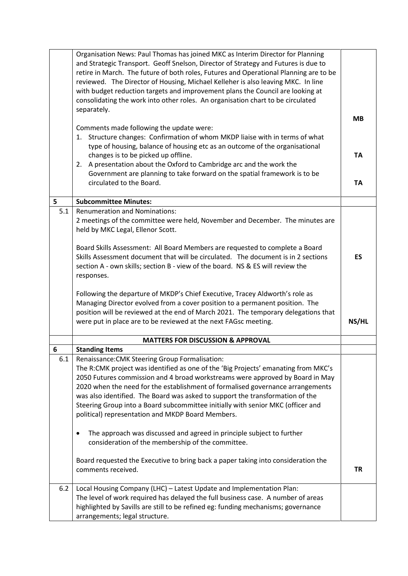|     | Organisation News: Paul Thomas has joined MKC as Interim Director for Planning<br>and Strategic Transport. Geoff Snelson, Director of Strategy and Futures is due to<br>retire in March. The future of both roles, Futures and Operational Planning are to be<br>reviewed. The Director of Housing, Michael Kelleher is also leaving MKC. In line<br>with budget reduction targets and improvement plans the Council are looking at<br>consolidating the work into other roles. An organisation chart to be circulated<br>separately.<br>Comments made following the update were:<br>1. Structure changes: Confirmation of whom MKDP liaise with in terms of what<br>type of housing, balance of housing etc as an outcome of the organisational<br>changes is to be picked up offline.<br>2. A presentation about the Oxford to Cambridge arc and the work the<br>Government are planning to take forward on the spatial framework is to be<br>circulated to the Board. | MВ<br><b>TA</b><br><b>TA</b> |
|-----|--------------------------------------------------------------------------------------------------------------------------------------------------------------------------------------------------------------------------------------------------------------------------------------------------------------------------------------------------------------------------------------------------------------------------------------------------------------------------------------------------------------------------------------------------------------------------------------------------------------------------------------------------------------------------------------------------------------------------------------------------------------------------------------------------------------------------------------------------------------------------------------------------------------------------------------------------------------------------|------------------------------|
| 5   | <b>Subcommittee Minutes:</b>                                                                                                                                                                                                                                                                                                                                                                                                                                                                                                                                                                                                                                                                                                                                                                                                                                                                                                                                             |                              |
| 5.1 | <b>Renumeration and Nominations:</b>                                                                                                                                                                                                                                                                                                                                                                                                                                                                                                                                                                                                                                                                                                                                                                                                                                                                                                                                     |                              |
|     | 2 meetings of the committee were held, November and December. The minutes are<br>held by MKC Legal, Ellenor Scott.                                                                                                                                                                                                                                                                                                                                                                                                                                                                                                                                                                                                                                                                                                                                                                                                                                                       |                              |
|     | Board Skills Assessment: All Board Members are requested to complete a Board<br>Skills Assessment document that will be circulated. The document is in 2 sections<br>section A - own skills; section B - view of the board. NS & ES will review the<br>responses.                                                                                                                                                                                                                                                                                                                                                                                                                                                                                                                                                                                                                                                                                                        | <b>ES</b>                    |
|     | Following the departure of MKDP's Chief Executive, Tracey Aldworth's role as<br>Managing Director evolved from a cover position to a permanent position. The<br>position will be reviewed at the end of March 2021. The temporary delegations that<br>were put in place are to be reviewed at the next FAGsc meeting.                                                                                                                                                                                                                                                                                                                                                                                                                                                                                                                                                                                                                                                    | NS/HL                        |
|     | <b>MATTERS FOR DISCUSSION &amp; APPROVAL</b>                                                                                                                                                                                                                                                                                                                                                                                                                                                                                                                                                                                                                                                                                                                                                                                                                                                                                                                             |                              |
| 6   | <b>Standing Items</b>                                                                                                                                                                                                                                                                                                                                                                                                                                                                                                                                                                                                                                                                                                                                                                                                                                                                                                                                                    |                              |
| 6.1 | Renaissance: CMK Steering Group Formalisation:<br>The R:CMK project was identified as one of the 'Big Projects' emanating from MKC's<br>2050 Futures commission and 4 broad workstreams were approved by Board in May<br>2020 when the need for the establishment of formalised governance arrangements<br>was also identified. The Board was asked to support the transformation of the<br>Steering Group into a Board subcommittee initially with senior MKC (officer and<br>political) representation and MKDP Board Members.                                                                                                                                                                                                                                                                                                                                                                                                                                         |                              |
|     | The approach was discussed and agreed in principle subject to further<br>consideration of the membership of the committee.                                                                                                                                                                                                                                                                                                                                                                                                                                                                                                                                                                                                                                                                                                                                                                                                                                               |                              |
|     | Board requested the Executive to bring back a paper taking into consideration the<br>comments received.                                                                                                                                                                                                                                                                                                                                                                                                                                                                                                                                                                                                                                                                                                                                                                                                                                                                  | <b>TR</b>                    |
| 6.2 | Local Housing Company (LHC) - Latest Update and Implementation Plan:<br>The level of work required has delayed the full business case. A number of areas<br>highlighted by Savills are still to be refined eg: funding mechanisms; governance<br>arrangements; legal structure.                                                                                                                                                                                                                                                                                                                                                                                                                                                                                                                                                                                                                                                                                          |                              |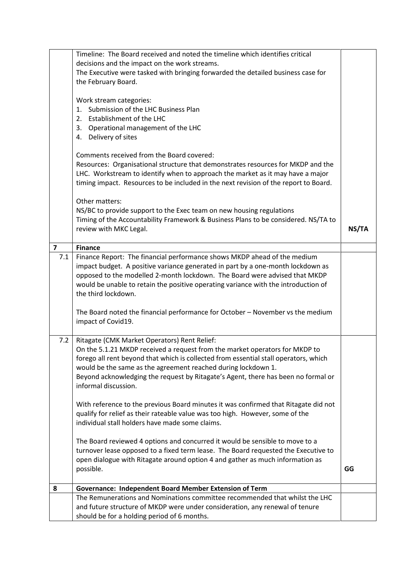|                         | Timeline: The Board received and noted the timeline which identifies critical                                                                                       |       |
|-------------------------|---------------------------------------------------------------------------------------------------------------------------------------------------------------------|-------|
|                         | decisions and the impact on the work streams.                                                                                                                       |       |
|                         | The Executive were tasked with bringing forwarded the detailed business case for                                                                                    |       |
|                         | the February Board.                                                                                                                                                 |       |
|                         | Work stream categories:                                                                                                                                             |       |
|                         | Submission of the LHC Business Plan<br>1.                                                                                                                           |       |
|                         | 2. Establishment of the LHC                                                                                                                                         |       |
|                         | 3. Operational management of the LHC                                                                                                                                |       |
|                         | 4. Delivery of sites                                                                                                                                                |       |
|                         |                                                                                                                                                                     |       |
|                         | Comments received from the Board covered:                                                                                                                           |       |
|                         | Resources: Organisational structure that demonstrates resources for MKDP and the                                                                                    |       |
|                         | LHC. Workstream to identify when to approach the market as it may have a major                                                                                      |       |
|                         | timing impact. Resources to be included in the next revision of the report to Board.                                                                                |       |
|                         | Other matters:                                                                                                                                                      |       |
|                         | NS/BC to provide support to the Exec team on new housing regulations                                                                                                |       |
|                         | Timing of the Accountability Framework & Business Plans to be considered. NS/TA to                                                                                  |       |
|                         | review with MKC Legal.                                                                                                                                              | NS/TA |
|                         |                                                                                                                                                                     |       |
| $\overline{\mathbf{z}}$ | <b>Finance</b>                                                                                                                                                      |       |
| 7.1                     | Finance Report: The financial performance shows MKDP ahead of the medium                                                                                            |       |
|                         | impact budget. A positive variance generated in part by a one-month lockdown as                                                                                     |       |
|                         | opposed to the modelled 2-month lockdown. The Board were advised that MKDP<br>would be unable to retain the positive operating variance with the introduction of    |       |
|                         | the third lockdown.                                                                                                                                                 |       |
|                         |                                                                                                                                                                     |       |
|                         | The Board noted the financial performance for October - November vs the medium                                                                                      |       |
|                         | impact of Covid19.                                                                                                                                                  |       |
|                         |                                                                                                                                                                     |       |
| 7.2                     | Ritagate (CMK Market Operators) Rent Relief:                                                                                                                        |       |
|                         | On the 5.1.21 MKDP received a request from the market operators for MKDP to                                                                                         |       |
|                         | forego all rent beyond that which is collected from essential stall operators, which<br>would be the same as the agreement reached during lockdown 1.               |       |
|                         | Beyond acknowledging the request by Ritagate's Agent, there has been no formal or                                                                                   |       |
|                         | informal discussion.                                                                                                                                                |       |
|                         |                                                                                                                                                                     |       |
|                         | With reference to the previous Board minutes it was confirmed that Ritagate did not                                                                                 |       |
|                         | qualify for relief as their rateable value was too high. However, some of the                                                                                       |       |
|                         | individual stall holders have made some claims.                                                                                                                     |       |
|                         |                                                                                                                                                                     |       |
|                         | The Board reviewed 4 options and concurred it would be sensible to move to a                                                                                        |       |
|                         | turnover lease opposed to a fixed term lease. The Board requested the Executive to<br>open dialogue with Ritagate around option 4 and gather as much information as |       |
|                         | possible.                                                                                                                                                           | GG    |
|                         |                                                                                                                                                                     |       |
| 8                       | Governance: Independent Board Member Extension of Term                                                                                                              |       |
|                         | The Remunerations and Nominations committee recommended that whilst the LHC                                                                                         |       |
|                         | and future structure of MKDP were under consideration, any renewal of tenure                                                                                        |       |
|                         | should be for a holding period of 6 months.                                                                                                                         |       |